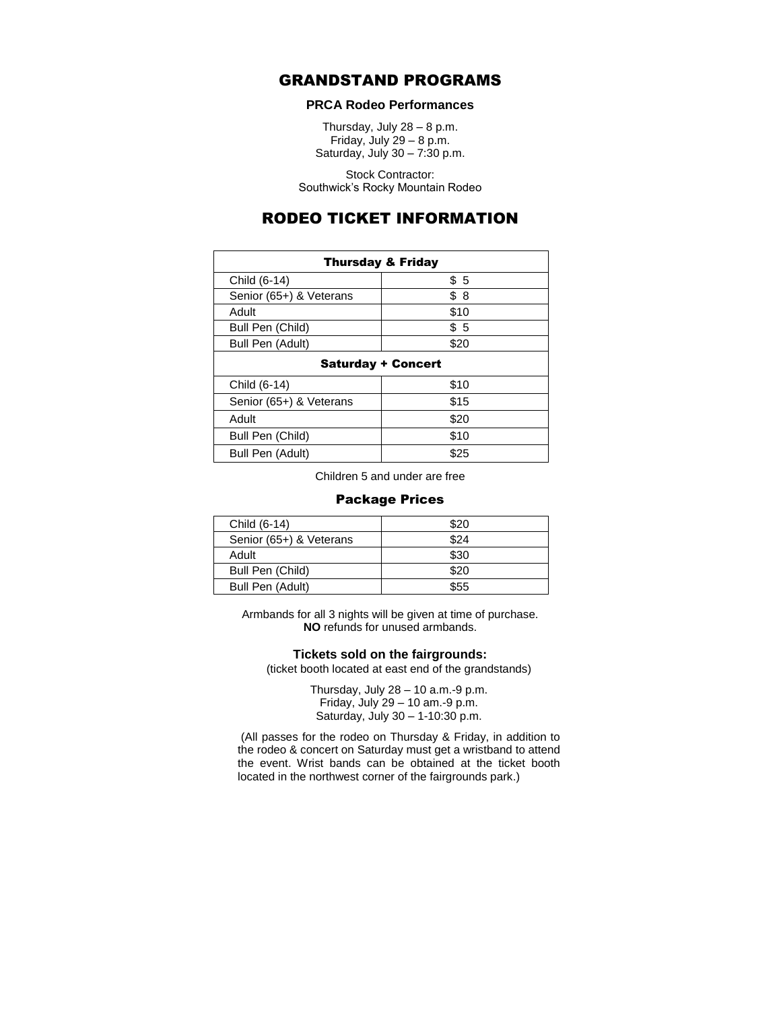# GRANDSTAND PROGRAMS

## **PRCA Rodeo Performances**

Thursday, July  $28 - 8$  p.m. Friday, July  $29 - 8$  p.m. Saturday, July 30 – 7:30 p.m.

Stock Contractor: Southwick's Rocky Mountain Rodeo

# RODEO TICKET INFORMATION

| <b>Thursday &amp; Friday</b> |      |
|------------------------------|------|
| Child (6-14)                 | \$5  |
| Senior (65+) & Veterans      | \$8  |
| Adult                        | \$10 |
| Bull Pen (Child)             | \$5  |
| Bull Pen (Adult)             | \$20 |
| <b>Saturday + Concert</b>    |      |
| Child (6-14)                 | \$10 |
| Senior (65+) & Veterans      | \$15 |
| Adult                        | \$20 |
| Bull Pen (Child)             | \$10 |
| Bull Pen (Adult)             | \$25 |

Children 5 and under are free

## Package Prices

| Child (6-14)            | \$20 |
|-------------------------|------|
| Senior (65+) & Veterans | \$24 |
| Adult                   | \$30 |
| Bull Pen (Child)        | \$20 |
| Bull Pen (Adult)        | \$55 |

Armbands for all 3 nights will be given at time of purchase. **NO** refunds for unused armbands.

#### **Tickets sold on the fairgrounds:**

(ticket booth located at east end of the grandstands)

Thursday, July 28 – 10 a.m.-9 p.m. Friday, July 29 – 10 am.-9 p.m. Saturday, July 30 – 1-10:30 p.m.

(All passes for the rodeo on Thursday & Friday, in addition to the rodeo & concert on Saturday must get a wristband to attend the event. Wrist bands can be obtained at the ticket booth located in the northwest corner of the fairgrounds park.)